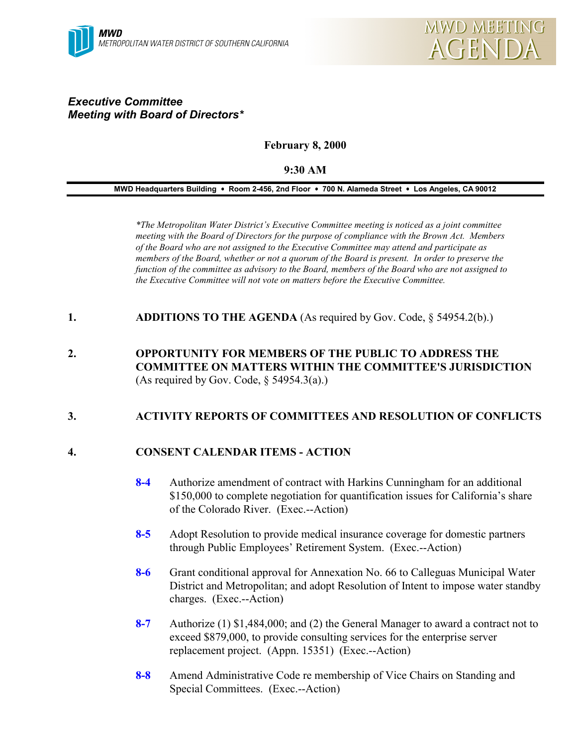# *Executive Committee Meeting with Board of Directors\**

## **February 8, 2000**

## **9:30 AM**

#### **MWD Headquarters Building** ! **Room 2-456, 2nd Floor** ! **700 N. Alameda Street** ! **Los Angeles, CA 90012**

*\*The Metropolitan Water District's Executive Committee meeting is noticed as a joint committee meeting with the Board of Directors for the purpose of compliance with the Brown Act. Members of the Board who are not assigned to the Executive Committee may attend and participate as members of the Board, whether or not a quorum of the Board is present. In order to preserve the function of the committee as advisory to the Board, members of the Board who are not assigned to the Executive Committee will not vote on matters before the Executive Committee.*

**1. ADDITIONS TO THE AGENDA** (As required by Gov. Code, § 54954.2(b).)

**2. OPPORTUNITY FOR MEMBERS OF THE PUBLIC TO ADDRESS THE COMMITTEE ON MATTERS WITHIN THE COMMITTEE'S JURISDICTION** (As required by Gov. Code,  $\S$  54954.3(a).)

## **3. ACTIVITY REPORTS OF COMMITTEES AND RESOLUTION OF CONFLICTS**

## **4. CONSENT CALENDAR ITEMS - ACTION**

- **8-4** Authorize amendment of contract with Harkins Cunningham for an additional \$150,000 to complete negotiation for quantification issues for California's share of the Colorado River. (Exec.--Action)
- **8-5** Adopt Resolution to provide medical insurance coverage for domestic partners through Public Employees' Retirement System. (Exec.--Action)
- **8-6** Grant conditional approval for Annexation No. 66 to Calleguas Municipal Water District and Metropolitan; and adopt Resolution of Intent to impose water standby charges. (Exec.--Action)
- **8-7** Authorize (1) \$1,484,000; and (2) the General Manager to award a contract not to exceed \$879,000, to provide consulting services for the enterprise server replacement project. (Appn. 15351) (Exec.--Action)
- **8-8** Amend Administrative Code re membership of Vice Chairs on Standing and Special Committees. (Exec.--Action)